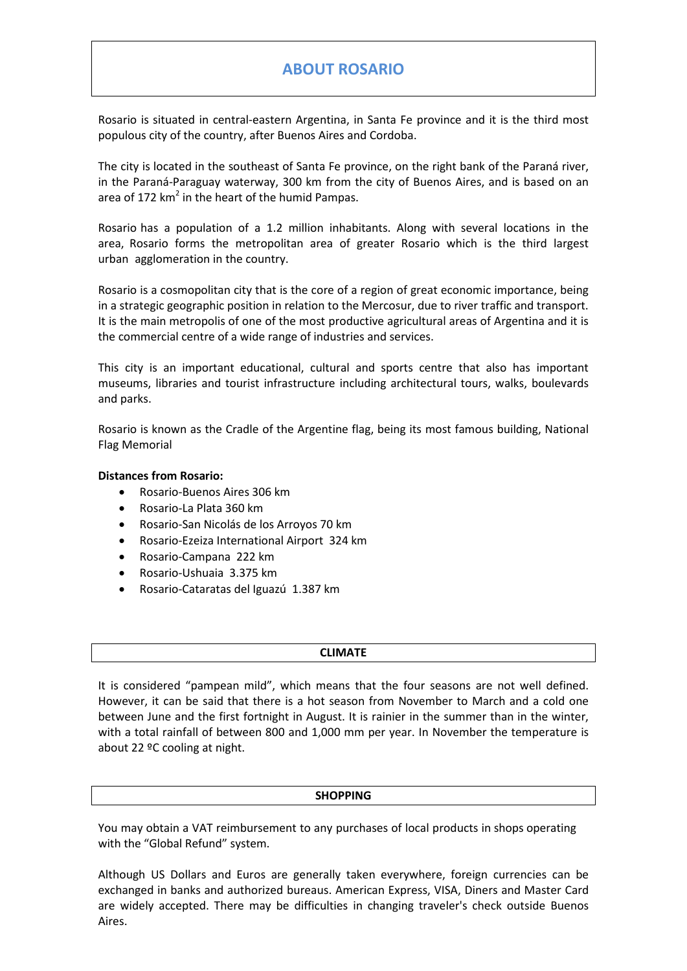# **ABOUT ROSARIO**

Rosario is situated in central-eastern Argentina, in Santa Fe province and it is the third most populous city of the country, after Buenos Aires and Cordoba.

The city is located in the southeast of Santa Fe province, on the right bank of the Paraná river, in the Paraná-Paraguay waterway, 300 km from the city of Buenos Aires, and is based on an area of 172  $km^2$  in the heart of the humid Pampas.

Rosario has a population of a 1.2 million inhabitants. Along with several locations in the area, Rosario forms the metropolitan area of greater Rosario which is the third largest urban agglomeration in the country.

Rosario is a cosmopolitan city that is the core of a region of great economic importance, being in a strategic geographic position in relation to the Mercosur, due to river traffic and transport. It is the main metropolis of one of the most productive agricultural areas of Argentina and it is the commercial centre of a wide range of industries and services.

This city is an important educational, cultural and sports centre that also has important museums, libraries and tourist infrastructure including architectural tours, walks, boulevards and parks.

Rosario is known as the Cradle of the Argentine flag, being its most famous building, National Flag Memorial

## **Distances from Rosario:**

- Rosario-Buenos Aires 306 km
- Rosario-La Plata 360 km
- Rosario-San Nicolás de los Arroyos 70 km
- Rosario-Ezeiza International Airport 324 km
- Rosario-Campana 222 km
- Rosario-Ushuaia 3.375 km
- Rosario-Cataratas del Iguazú 1.387 km

#### **CLIMATE**

It is considered "pampean mild", which means that the four seasons are not well defined. However, it can be said that there is a hot season from November to March and a cold one between June and the first fortnight in August. It is rainier in the summer than in the winter, with a total rainfall of between 800 and 1,000 mm per year. In November the temperature is about 22 ºC cooling at night.

## **SHOPPING**

You may obtain a VAT reimbursement to any purchases of local products in shops operating with the "Global Refund" system.

Although US Dollars and Euros are generally taken everywhere, foreign currencies can be exchanged in banks and authorized bureaus. American Express, VISA, Diners and Master Card are widely accepted. There may be difficulties in changing traveler's check outside Buenos Aires.